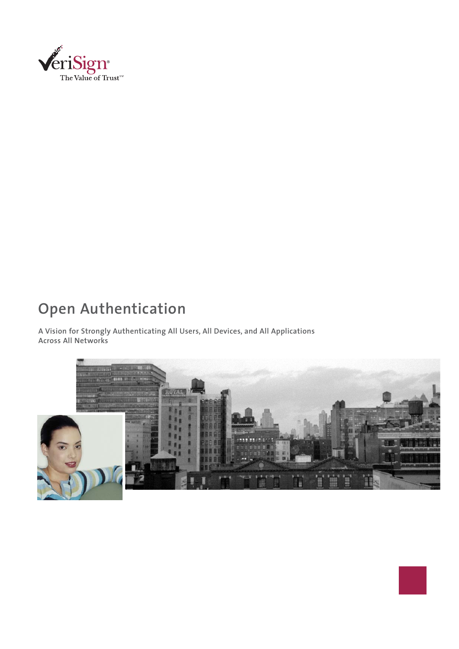

## **Open Authentication**

**A Vision for Strongly Authenticating All Users, All Devices, and All Applications Across All Networks**

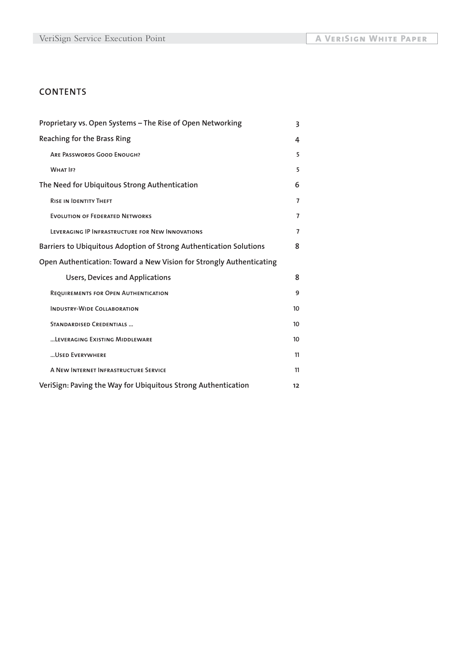### **CONTENTS**

| Proprietary vs. Open Systems - The Rise of Open Networking           | 3                |
|----------------------------------------------------------------------|------------------|
| Reaching for the Brass Ring                                          | 4                |
| <b>ARE PASSWORDS GOOD ENOUGH?</b>                                    | 5                |
| <b>WHAT IF?</b>                                                      | 5                |
| The Need for Ubiquitous Strong Authentication                        | 6                |
| <b>RISE IN IDENTITY THEFT</b>                                        | $\overline{7}$   |
| <b>EVOLUTION OF FEDERATED NETWORKS</b>                               | $\overline{7}$   |
| LEVERAGING IP INFRASTRUCTURE FOR NEW INNOVATIONS                     | 7                |
| Barriers to Ubiquitous Adoption of Strong Authentication Solutions   | 8                |
| Open Authentication: Toward a New Vision for Strongly Authenticating |                  |
| <b>Users, Devices and Applications</b>                               | 8                |
| REQUIREMENTS FOR OPEN AUTHENTICATION                                 | 9                |
| <b>INDUSTRY-WIDE COLLABORATION</b>                                   | 10 <sup>10</sup> |
| <b>STANDARDISED CREDENTIALS </b>                                     | 10               |
| LEVERAGING EXISTING MIDDLEWARE                                       | 10 <sup>10</sup> |
| USED EVERYWHERE                                                      | 11               |
| A NEW INTERNET INFRASTRUCTURE SERVICE                                | 11               |
| VeriSign: Paving the Way for Ubiquitous Strong Authentication        | 12               |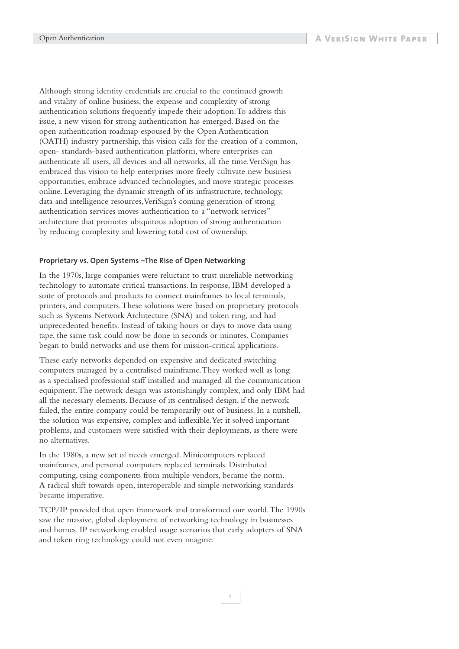Although strong identity credentials are crucial to the continued growth and vitality of online business, the expense and complexity of strong authentication solutions frequently impede their adoption.To address this issue, a new vision for strong authentication has emerged. Based on the open authentication roadmap espoused by the Open Authentication (OATH) industry partnership, this vision calls for the creation of a common, open- standards-based authentication platform, where enterprises can authenticate all users, all devices and all networks, all the time.VeriSign has embraced this vision to help enterprises more freely cultivate new business opportunities, embrace advanced technologies, and move strategic processes online. Leveraging the dynamic strength of its infrastructure, technology, data and intelligence resources,VeriSign's coming generation of strong authentication services moves authentication to a "network services" architecture that promotes ubiquitous adoption of strong authentication by reducing complexity and lowering total cost of ownership.

#### **Proprietary vs. Open Systems –The Rise of Open Networking**

In the 1970s, large companies were reluctant to trust unreliable networking technology to automate critical transactions. In response, IBM developed a suite of protocols and products to connect mainframes to local terminals, printers, and computers.These solutions were based on proprietary protocols such as Systems Network Architecture (SNA) and token ring, and had unprecedented benefits. Instead of taking hours or days to move data using tape, the same task could now be done in seconds or minutes. Companies began to build networks and use them for mission-critical applications.

These early networks depended on expensive and dedicated switching computers managed by a centralised mainframe.They worked well as long as a specialised professional staff installed and managed all the communication equipment.The network design was astonishingly complex, and only IBM had all the necessary elements. Because of its centralised design, if the network failed, the entire company could be temporarily out of business. In a nutshell, the solution was expensive, complex and inflexible.Yet it solved important problems, and customers were satisfied with their deployments, as there were no alternatives.

In the 1980s, a new set of needs emerged. Minicomputers replaced mainframes, and personal computers replaced terminals. Distributed computing, using components from multiple vendors, became the norm. A radical shift towards open, interoperable and simple networking standards became imperative.

TCP/IP provided that open framework and transformed our world.The 1990s saw the massive, global deployment of networking technology in businesses and homes. IP networking enabled usage scenarios that early adopters of SNA and token ring technology could not even imagine.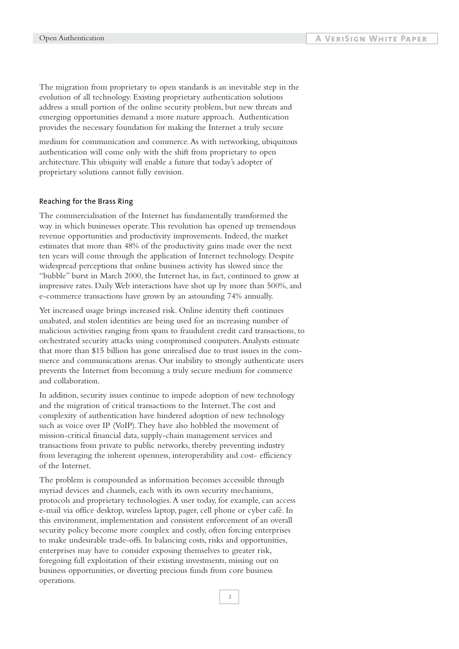The migration from proprietary to open standards is an inevitable step in the evolution of all technology. Existing proprietary authentication solutions address a small portion of the online security problem, but new threats and emerging opportunities demand a more mature approach. Authentication provides the necessary foundation for making the Internet a truly secure

medium for communication and commerce.As with networking, ubiquitous authentication will come only with the shift from proprietary to open architecture.This ubiquity will enable a future that today's adopter of proprietary solutions cannot fully envision.

#### **Reaching for the Brass Ring**

The commercialisation of the Internet has fundamentally transformed the way in which businesses operate.This revolution has opened up tremendous revenue opportunities and productivity improvements. Indeed, the market estimates that more than 48% of the productivity gains made over the next ten years will come through the application of Internet technology. Despite widespread perceptions that online business activity has slowed since the "bubble" burst in March 2000, the Internet has, in fact, continued to grow at impressive rates. Daily Web interactions have shot up by more than 500%, and e-commerce transactions have grown by an astounding 74% annually.

Yet increased usage brings increased risk. Online identity theft continues unabated, and stolen identities are being used for an increasing number of malicious activities ranging from spam to fraudulent credit card transactions, to orchestrated security attacks using compromised computers.Analysts estimate that more than \$15 billion has gone unrealised due to trust issues in the commerce and communications arenas. Our inability to strongly authenticate users prevents the Internet from becoming a truly secure medium for commerce and collaboration.

In addition, security issues continue to impede adoption of new technology and the migration of critical transactions to the Internet.The cost and complexity of authentication have hindered adoption of new technology such as voice over IP (VoIP).They have also hobbled the movement of mission-critical financial data, supply-chain management services and transactions from private to public networks, thereby preventing industry from leveraging the inherent openness, interoperability and cost- efficiency of the Internet.

The problem is compounded as information becomes accessible through myriad devices and channels, each with its own security mechanisms, protocols and proprietary technologies.A user today, for example, can access e-mail via office desktop, wireless laptop, pager, cell phone or cyber café. In this environment, implementation and consistent enforcement of an overall security policy become more complex and costly, often forcing enterprises to make undesirable trade-offs. In balancing costs, risks and opportunities, enterprises may have to consider exposing themselves to greater risk, foregoing full exploitation of their existing investments, missing out on business opportunities, or diverting precious funds from core business operations.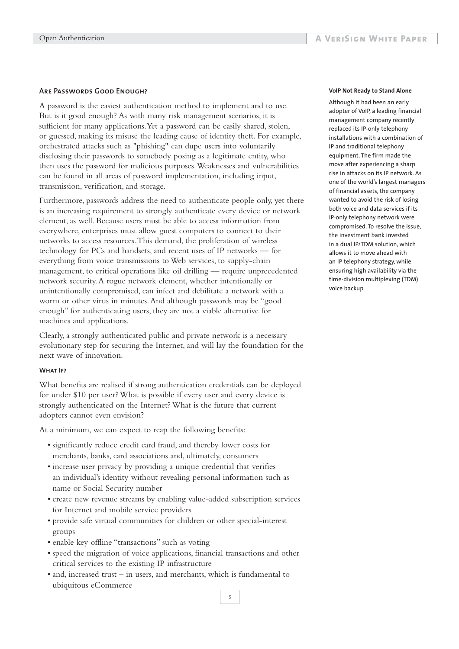#### **Are Passwords Good Enough?**

A password is the easiest authentication method to implement and to use. But is it good enough? As with many risk management scenarios, it is sufficient for many applications.Yet a password can be easily shared, stolen, or guessed, making its misuse the leading cause of identity theft. For example, orchestrated attacks such as "phishing" can dupe users into voluntarily disclosing their passwords to somebody posing as a legitimate entity, who then uses the password for malicious purposes.Weaknesses and vulnerabilities can be found in all areas of password implementation, including input, transmission, verification, and storage.

Furthermore, passwords address the need to authenticate people only, yet there is an increasing requirement to strongly authenticate every device or network element, as well. Because users must be able to access information from everywhere, enterprises must allow guest computers to connect to their networks to access resources.This demand, the proliferation of wireless technology for PCs and handsets, and recent uses of IP networks — for everything from voice transmissions to Web services, to supply-chain management, to critical operations like oil drilling — require unprecedented network security.A rogue network element, whether intentionally or unintentionally compromised, can infect and debilitate a network with a worm or other virus in minutes.And although passwords may be "good enough" for authenticating users, they are not a viable alternative for machines and applications.

Clearly, a strongly authenticated public and private network is a necessary evolutionary step for securing the Internet, and will lay the foundation for the next wave of innovation.

#### **What If?**

What benefits are realised if strong authentication credentials can be deployed for under \$10 per user? What is possible if every user and every device is strongly authenticated on the Internet? What is the future that current adopters cannot even envision?

At a minimum, we can expect to reap the following benefits:

- significantly reduce credit card fraud, and thereby lower costs for merchants, banks, card associations and, ultimately, consumers
- increase user privacy by providing a unique credential that verifies an individual's identity without revealing personal information such as name or Social Security number
- create new revenue streams by enabling value-added subscription services for Internet and mobile service providers
- provide safe virtual communities for children or other special-interest groups
- enable key offline "transactions" such as voting
- speed the migration of voice applications, financial transactions and other critical services to the existing IP infrastructure
- and, increased trust in users, and merchants, which is fundamental to ubiquitous eCommerce

#### **VoIP Not Ready to Stand Alone**

Although it had been an early adopter of VoIP, a leading financial management company recently replaced its IP-only telephony installations with a combination of IP and traditional telephony equipment. The firm made the move after experiencing a sharp rise in attacks on its IP network. As one of the world's largest managers of financial assets, the company wanted to avoid the risk of losing both voice and data services if its IP-only telephony network were compromised. To resolve the issue, the investment bank invested in a dual IP/TDM solution, which allows it to move ahead with an IP telephony strategy, while ensuring high availability via the time-division multiplexing (TDM) voice backup.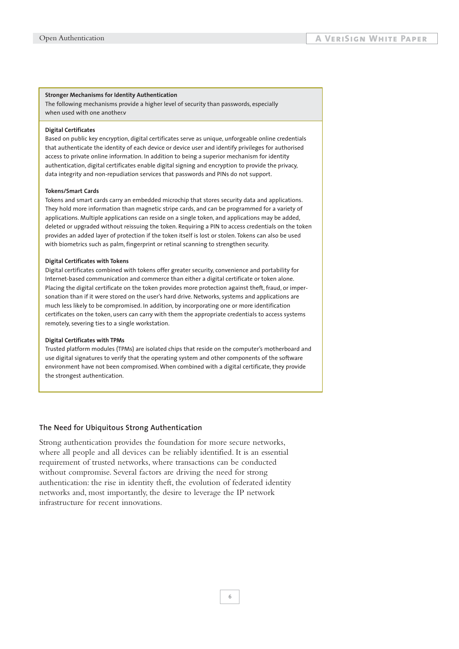#### **Stronger Mechanisms for Identity Authentication**

The following mechanisms provide a higher level of security than passwords, especially when used with one another.v

#### **Digital Certificates**

Based on public key encryption, digital certificates serve as unique, unforgeable online credentials that authenticate the identity of each device or device user and identify privileges for authorised access to private online information. In addition to being a superior mechanism for identity authentication, digital certificates enable digital signing and encryption to provide the privacy, data integrity and non-repudiation services that passwords and PINs do not support.

#### **Tokens/Smart Cards**

Tokens and smart cards carry an embedded microchip that stores security data and applications. They hold more information than magnetic stripe cards, and can be programmed for a variety of applications. Multiple applications can reside on a single token, and applications may be added, deleted or upgraded without reissuing the token. Requiring a PIN to access credentials on the token provides an added layer of protection if the token itself is lost or stolen. Tokens can also be used with biometrics such as palm, fingerprint or retinal scanning to strengthen security.

#### **Digital Certificates with Tokens**

Digital certificates combined with tokens offer greater security, convenience and portability for Internet-based communication and commerce than either a digital certificate or token alone. Placing the digital certificate on the token provides more protection against theft, fraud, or impersonation than if it were stored on the user's hard drive. Networks, systems and applications are much less likely to be compromised. In addition, by incorporating one or more identification certificates on the token, users can carry with them the appropriate credentials to access systems remotely, severing ties to a single workstation.

#### **Digital Certificates with TPMs**

Trusted platform modules (TPMs) are isolated chips that reside on the computer's motherboard and use digital signatures to verify that the operating system and other components of the software environment have not been compromised. When combined with a digital certificate, they provide the strongest authentication.

#### **The Need for Ubiquitous Strong Authentication**

Strong authentication provides the foundation for more secure networks, where all people and all devices can be reliably identified. It is an essential requirement of trusted networks, where transactions can be conducted without compromise. Several factors are driving the need for strong authentication: the rise in identity theft, the evolution of federated identity networks and, most importantly, the desire to leverage the IP network infrastructure for recent innovations.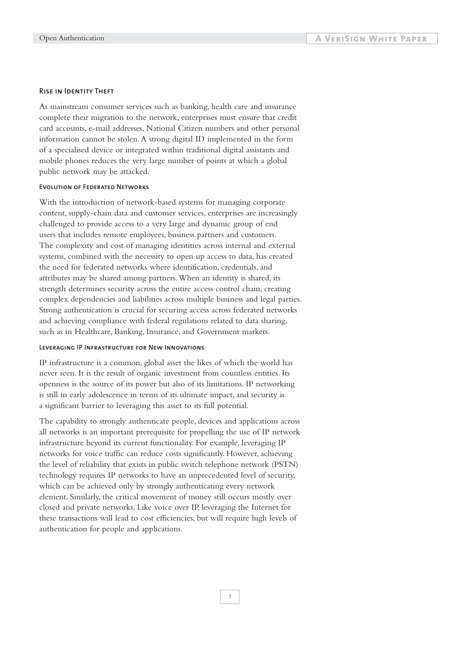#### **Rise in Identity Theft**

As mainstream consumer services such as banking, health care and insurance complete their migration to the network, enterprises must ensure that credit card accounts, e-mail addresses, National Citizen numbers and other personal information cannot be stolen.A strong digital ID implemented in the form of a specialised device or integrated within traditional digital assistants and mobile phones reduces the very large number of points at which a global public network may be attacked.

#### **Evolution of Federated Networks**

With the introduction of network-based systems for managing corporate content, supply-chain data and customer services, enterprises are increasingly challenged to provide access to a very large and dynamic group of end users that includes remote employees, business partners and customers. The complexity and cost of managing identities across internal and external systems, combined with the necessity to open up access to data, has created the need for federated networks where identification, credentials, and attributes may be shared among partners.When an identity is shared, its strength determines security across the entire access control chain, creating complex dependencies and liabilities across multiple business and legal parties. Strong authentication is crucial for securing access across federated networks and achieving compliance with federal regulations related to data sharing, such as in Healthcare, Banking, Insurance, and Government markets.

#### **Leveraging IP Infrastructure for New Innovations**

IP infrastructure is a common, global asset the likes of which the world has never seen. It is the result of organic investment from countless entities. Its openness is the source of its power but also of its limitations. IP networking is still in early adolescence in terms of its ultimate impact, and security is a significant barrier to leveraging this asset to its full potential.

The capability to strongly authenticate people, devices and applications across all networks is an important prerequisite for propelling the use of IP network infrastructure beyond its current functionality. For example, leveraging IP networks for voice traffic can reduce costs significantly. However, achieving the level of reliability that exists in public switch telephone network (PSTN) technology requires IP networks to have an unprecedented level of security, which can be achieved only by strongly authenticating every network element. Similarly, the critical movement of money still occurs mostly over closed and private networks. Like voice over IP, leveraging the Internet for these transactions will lead to cost efficiencies, but will require high levels of authentication for people and applications.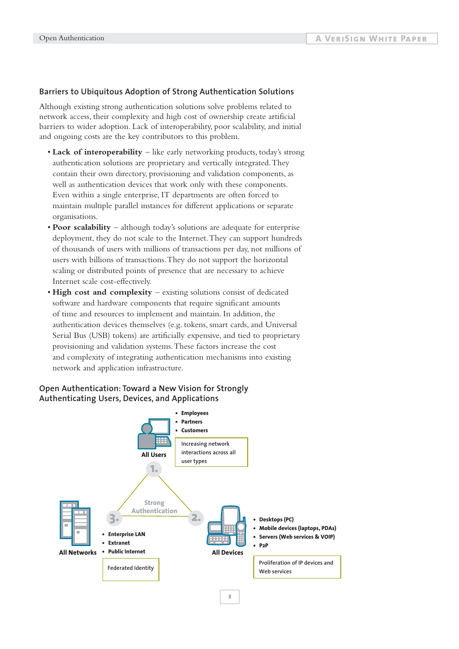#### **Barriers to Ubiquitous Adoption of Strong Authentication Solutions**

Although existing strong authentication solutions solve problems related to network access, their complexity and high cost of ownership create artificial barriers to wider adoption. Lack of interoperability, poor scalability, and initial and ongoing costs are the key contributors to this problem.

- **Lack of interoperability**  like early networking products, today's strong authentication solutions are proprietary and vertically integrated.They contain their own directory, provisioning and validation components, as well as authentication devices that work only with these components. Even within a single enterprise, IT departments are often forced to maintain multiple parallel instances for different applications or separate organisations.
- **Poor scalability**  although today's solutions are adequate for enterprise deployment, they do not scale to the Internet.They can support hundreds of thousands of users with millions of transactions per day, not millions of users with billions of transactions.They do not support the horizontal scaling or distributed points of presence that are necessary to achieve Internet scale cost-effectively.
- **High cost and complexity**  existing solutions consist of dedicated software and hardware components that require significant amounts of time and resources to implement and maintain. In addition, the authentication devices themselves (e.g. tokens, smart cards, and Universal Serial Bus (USB) tokens) are artificially expensive, and tied to proprietary provisioning and validation systems.These factors increase the cost and complexity of integrating authentication mechanisms into existing network and application infrastructure.

#### **Open Authentication: Toward a New Vision for Strongly Authenticating Users, Devices, and Applications**



**8**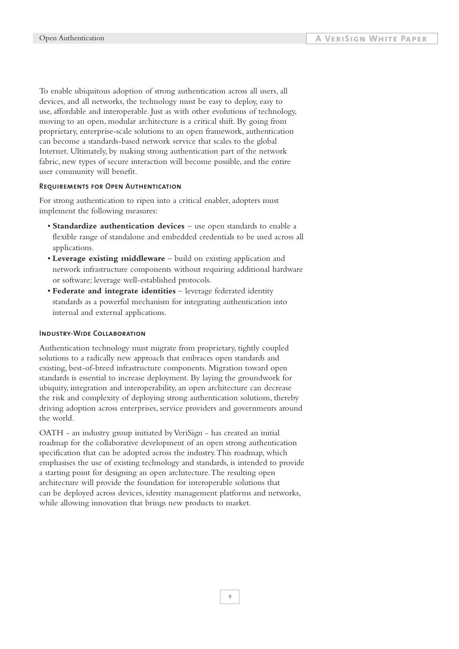To enable ubiquitous adoption of strong authentication across all users, all devices, and all networks, the technology must be easy to deploy, easy to use, affordable and interoperable. Just as with other evolutions of technology, moving to an open, modular architecture is a critical shift. By going from proprietary, enterprise-scale solutions to an open framework, authentication can become a standards-based network service that scales to the global Internet. Ultimately, by making strong authentication part of the network fabric, new types of secure interaction will become possible, and the entire user community will benefit.

#### **Requirements for Open Authentication**

For strong authentication to ripen into a critical enabler, adopters must implement the following measures:

- **Standardize authentication devices**  use open standards to enable a flexible range of standalone and embedded credentials to be used across all applications.
- **Leverage existing middleware** build on existing application and network infrastructure components without requiring additional hardware or software; leverage well-established protocols.
- **Federate and integrate identities** leverage federated identity standards as a powerful mechanism for integrating authentication into internal and external applications.

#### **Industry-Wide Collaboration**

Authentication technology must migrate from proprietary, tightly coupled solutions to a radically new approach that embraces open standards and existing, best-of-breed infrastructure components. Migration toward open standards is essential to increase deployment. By laying the groundwork for ubiquity, integration and interoperability, an open architecture can decrease the risk and complexity of deploying strong authentication solutions, thereby driving adoption across enterprises, service providers and governments around the world.

OATH - an industry group initiated by VeriSign - has created an initial roadmap for the collaborative development of an open strong authentication specification that can be adopted across the industry.This roadmap, which emphasises the use of existing technology and standards, is intended to provide a starting point for designing an open architecture.The resulting open architecture will provide the foundation for interoperable solutions that can be deployed across devices, identity management platforms and networks, while allowing innovation that brings new products to market.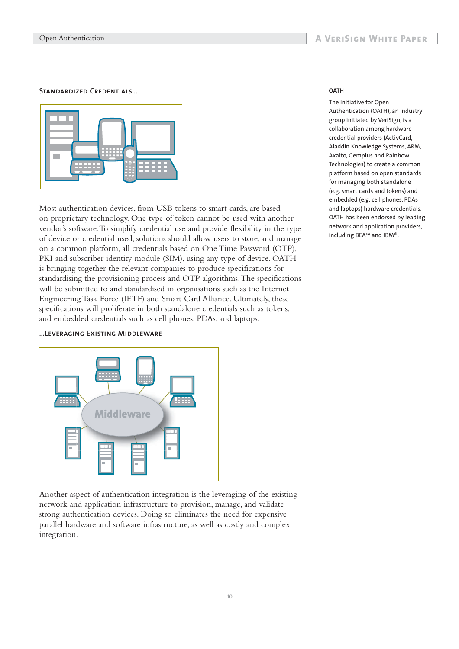#### **Standardized Credentials…**



Most authentication devices, from USB tokens to smart cards, are based on proprietary technology. One type of token cannot be used with another vendor's software.To simplify credential use and provide flexibility in the type of device or credential used, solutions should allow users to store, and manage on a common platform, all credentials based on One Time Password (OTP), PKI and subscriber identity module (SIM), using any type of device. OATH is bringing together the relevant companies to produce specifications for standardising the provisioning process and OTP algorithms.The specifications will be submitted to and standardised in organisations such as the Internet Engineering Task Force (IETF) and Smart Card Alliance. Ultimately, these specifications will proliferate in both standalone credentials such as tokens, and embedded credentials such as cell phones, PDAs, and laptops.

# ₩ **Middleware**

**…Leveraging Existing Middleware**

Another aspect of authentication integration is the leveraging of the existing network and application infrastructure to provision, manage, and validate strong authentication devices. Doing so eliminates the need for expensive parallel hardware and software infrastructure, as well as costly and complex integration.

#### **OATH**

The Initiative for Open Authentication (OATH), an industry group initiated by VeriSign, is a collaboration among hardware credential providers (ActivCard, Aladdin Knowledge Systems, ARM, Axalto, Gemplus and Rainbow Technologies) to create a common platform based on open standards for managing both standalone (e.g. smart cards and tokens) and embedded (e.g. cell phones, PDAs and laptops) hardware credentials. OATH has been endorsed by leading network and application providers, including BEA™ and IBM®.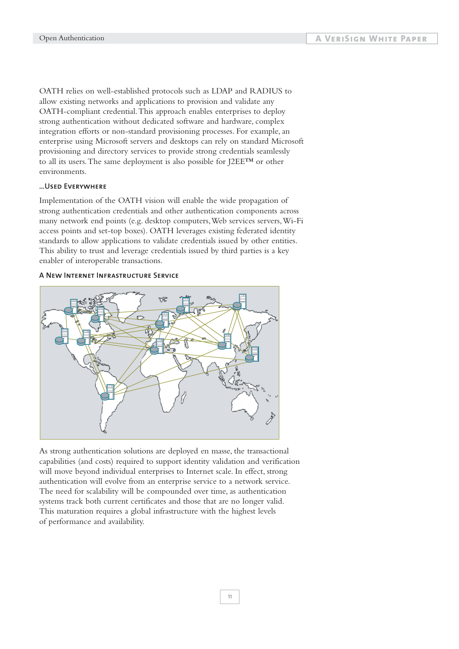OATH relies on well-established protocols such as LDAP and RADIUS to allow existing networks and applications to provision and validate any OATH-compliant credential.This approach enables enterprises to deploy strong authentication without dedicated software and hardware, complex integration efforts or non-standard provisioning processes. For example, an enterprise using Microsoft servers and desktops can rely on standard Microsoft provisioning and directory services to provide strong credentials seamlessly to all its users.The same deployment is also possible for J2EE™ or other environments.

#### **…Used Everywhere**

Implementation of the OATH vision will enable the wide propagation of strong authentication credentials and other authentication components across many network end points (e.g. desktop computers,Web services servers,Wi-Fi access points and set-top boxes). OATH leverages existing federated identity standards to allow applications to validate credentials issued by other entities. This ability to trust and leverage credentials issued by third parties is a key enabler of interoperable transactions.

#### **A New Internet Infrastructure Service**



As strong authentication solutions are deployed en masse, the transactional capabilities (and costs) required to support identity validation and verification will move beyond individual enterprises to Internet scale. In effect, strong authentication will evolve from an enterprise service to a network service. The need for scalability will be compounded over time, as authentication systems track both current certificates and those that are no longer valid. This maturation requires a global infrastructure with the highest levels of performance and availability.